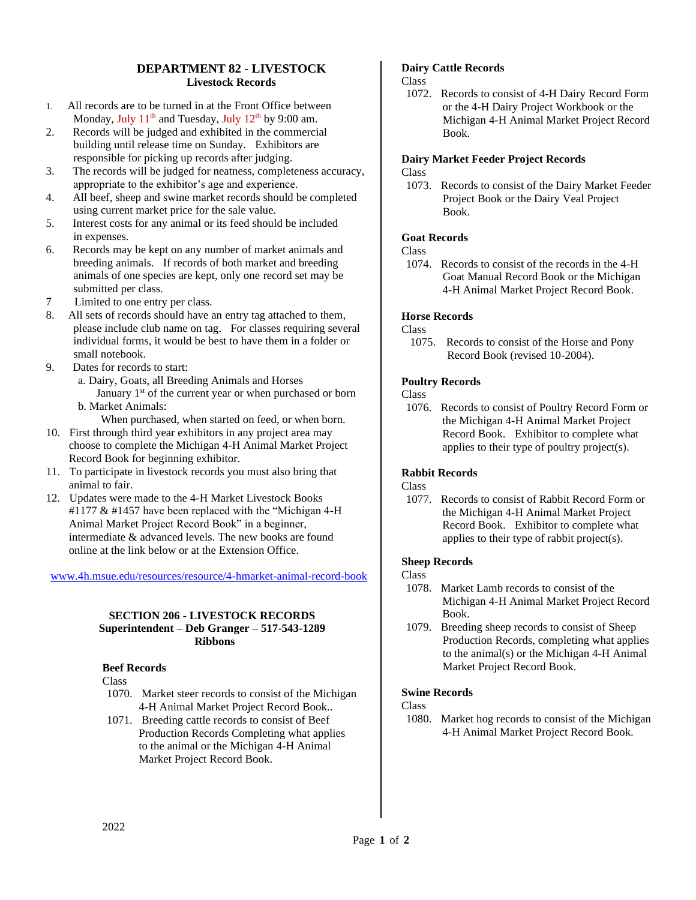# **DEPARTMENT 82 - LIVESTOCK Livestock Records**

- 1. All records are to be turned in at the Front Office between Monday, July  $11<sup>th</sup>$  and Tuesday, July  $12<sup>th</sup>$  by 9:00 am.
- 2. Records will be judged and exhibited in the commercial building until release time on Sunday. Exhibitors are responsible for picking up records after judging.
- 3. The records will be judged for neatness, completeness accuracy, appropriate to the exhibitor's age and experience.
- 4. All beef, sheep and swine market records should be completed using current market price for the sale value.
- 5. Interest costs for any animal or its feed should be included in expenses.
- 6. Records may be kept on any number of market animals and breeding animals. If records of both market and breeding animals of one species are kept, only one record set may be submitted per class.
- 7 Limited to one entry per class.
- 8. All sets of records should have an entry tag attached to them, please include club name on tag. For classes requiring several individual forms, it would be best to have them in a folder or small notebook.
- 9. Dates for records to start:
	- a. Dairy, Goats, all Breeding Animals and Horses January 1<sup>st</sup> of the current year or when purchased or born b. Market Animals:
		- When purchased, when started on feed, or when born.
- 10. First through third year exhibitors in any project area may choose to complete the Michigan 4-H Animal Market Project Record Book for beginning exhibitor.
- 11. To participate in livestock records you must also bring that animal to fair.
- 12. Updates were made to the 4-H Market Livestock Books #1177 & #1457 have been replaced with the "Michigan 4-H Animal Market Project Record Book" in a beginner, intermediate & advanced levels. The new books are found online at the link below or at the Extension Office.

## [www.4h.msue.edu/resources/resource/4-hmarket-animal-record-book](http://www.4h.msue.edu/resources/resource/4-hmarket-animal-record-book)

#### **SECTION 206 - LIVESTOCK RECORDS Superintendent – Deb Granger – 517-543-1289 Ribbons**

## **Beef Records**

Class

- 1070. Market steer records to consist of the Michigan 4-H Animal Market Project Record Book..
- 1071. Breeding cattle records to consist of Beef Production Records Completing what applies to the animal or the Michigan 4-H Animal Market Project Record Book.

# **Dairy Cattle Records**

Class

1072. Records to consist of 4-H Dairy Record Form or the 4-H Dairy Project Workbook or the Michigan 4-H Animal Market Project Record Book.

# **Dairy Market Feeder Project Records**

Class

1073. Records to consist of the Dairy Market Feeder Project Book or the Dairy Veal Project Book.

# **Goat Records**

## Class

1074. Records to consist of the records in the 4-H Goat Manual Record Book or the Michigan 4-H Animal Market Project Record Book.

# **Horse Records**

## Class

1075. Records to consist of the Horse and Pony Record Book (revised 10-2004).

## **Poultry Records**

# Class

1076. Records to consist of Poultry Record Form or the Michigan 4-H Animal Market Project Record Book. Exhibitor to complete what applies to their type of poultry project(s).

## **Rabbit Records**

# **Class**

1077. Records to consist of Rabbit Record Form or the Michigan 4-H Animal Market Project Record Book. Exhibitor to complete what applies to their type of rabbit project(s).

## **Sheep Records**

- Class
- 1078. Market Lamb records to consist of the Michigan 4-H Animal Market Project Record Book.
- 1079. Breeding sheep records to consist of Sheep Production Records, completing what applies to the animal(s) or the Michigan 4-H Animal Market Project Record Book.

## **Swine Records**

- Class
- 1080. Market hog records to consist of the Michigan 4-H Animal Market Project Record Book.